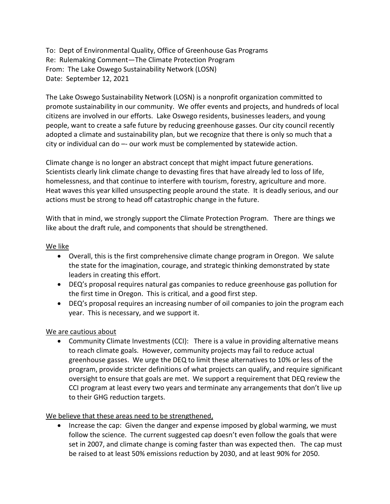To: Dept of Environmental Quality, Office of Greenhouse Gas Programs Re: Rulemaking Comment—The Climate Protection Program From: The Lake Oswego Sustainability Network (LOSN) Date: September 12, 2021

The Lake Oswego Sustainability Network (LOSN) is a nonprofit organization committed to promote sustainability in our community. We offer events and projects, and hundreds of local citizens are involved in our efforts. Lake Oswego residents, businesses leaders, and young people, want to create a safe future by reducing greenhouse gasses. Our city council recently adopted a climate and sustainability plan, but we recognize that there is only so much that a city or individual can do -- our work must be complemented by statewide action.

Climate change is no longer an abstract concept that might impact future generations. Scientists clearly link climate change to devasting fires that have already led to loss of life, homelessness, and that continue to interfere with tourism, forestry, agriculture and more. Heat waves this year killed unsuspecting people around the state. It is deadly serious, and our actions must be strong to head off catastrophic change in the future.

With that in mind, we strongly support the Climate Protection Program. There are things we like about the draft rule, and components that should be strengthened.

## We like

- Overall, this is the first comprehensive climate change program in Oregon. We salute the state for the imagination, courage, and strategic thinking demonstrated by state leaders in creating this effort.
- DEQ's proposal requires natural gas companies to reduce greenhouse gas pollution for the first time in Oregon. This is critical, and a good first step.
- DEQ's proposal requires an increasing number of oil companies to join the program each year. This is necessary, and we support it.

## We are cautious about

• Community Climate Investments (CCI): There is a value in providing alternative means to reach climate goals. However, community projects may fail to reduce actual greenhouse gasses. We urge the DEQ to limit these alternatives to 10% or less of the program, provide stricter definitions of what projects can qualify, and require significant oversight to ensure that goals are met. We support a requirement that DEQ review the CCI program at least every two years and terminate any arrangements that don't live up to their GHG reduction targets.

## We believe that these areas need to be strengthened,

• Increase the cap: Given the danger and expense imposed by global warming, we must follow the science. The current suggested cap doesn't even follow the goals that were set in 2007, and climate change is coming faster than was expected then. The cap must be raised to at least 50% emissions reduction by 2030, and at least 90% for 2050.